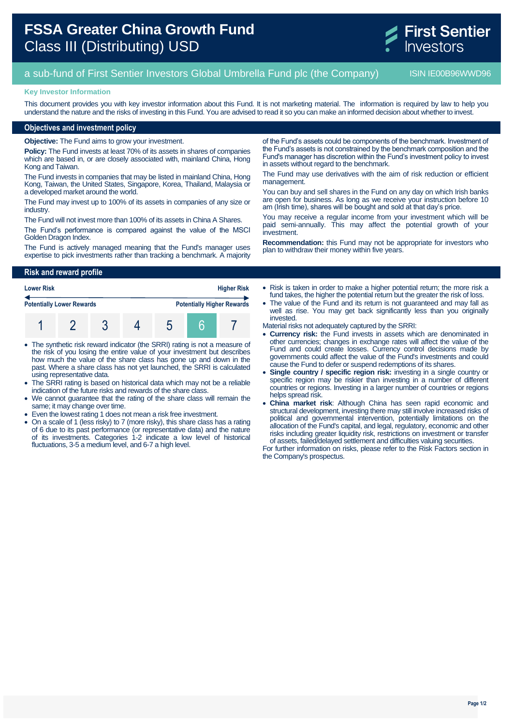# **FSSA Greater China Growth Fund** Class III (Distributing) USD



## a sub-fund of First Sentier Investors Global Umbrella Fund plc (the Company) ISIN IE00B96WWD96

#### **Key Investor Information**

This document provides you with key investor information about this Fund. It is not marketing material. The information is required by law to help you understand the nature and the risks of investing in this Fund. You are advised to read it so you can make an informed decision about whether to invest.

#### **Objectives and investment policy**

**Objective:** The Fund aims to grow your investment.

**Policy:** The Fund invests at least 70% of its assets in shares of companies which are based in, or are closely associated with, mainland China, Hong Kong and Taiwan.

The Fund invests in companies that may be listed in mainland China, Hong Kong, Taiwan, the United States, Singapore, Korea, Thailand, Malaysia or a developed market around the world.

The Fund may invest up to 100% of its assets in companies of any size or industry.

The Fund will not invest more than 100% of its assets in China A Shares.

The Fund's performance is compared against the value of the MSCI Golden Dragon Index.

The Fund is actively managed meaning that the Fund's manager uses expertise to pick investments rather than tracking a benchmark. A majority

**Risk and reward profile**

| <b>Lower Risk</b><br><b>Potentially Lower Rewards</b> |  |  |  | <b>Higher Risk</b> |                                   |  |
|-------------------------------------------------------|--|--|--|--------------------|-----------------------------------|--|
|                                                       |  |  |  |                    | <b>Potentially Higher Rewards</b> |  |
|                                                       |  |  |  |                    |                                   |  |

- The synthetic risk reward indicator (the SRRI) rating is not a measure of the risk of you losing the entire value of your investment but describes how much the value of the share class has gone up and down in the past. Where a share class has not yet launched, the SRRI is calculated using representative data.
- The SRRI rating is based on historical data which may not be a reliable indication of the future risks and rewards of the share class.
- We cannot guarantee that the rating of the share class will remain the same; it may change over time.
- Even the lowest rating 1 does not mean a risk free investment.
- On a scale of 1 (less risky) to 7 (more risky), this share class has a rating of 6 due to its past performance (or representative data) and the nature of its investments. Categories 1-2 indicate a low level of historical fluctuations, 3-5 a medium level, and 6-7 a high level.

of the Fund's assets could be components of the benchmark. Investment of the Fund's assets is not constrained by the benchmark composition and the Fund's manager has discretion within the Fund's investment policy to invest in assets without regard to the benchmark.

The Fund may use derivatives with the aim of risk reduction or efficient management.

You can buy and sell shares in the Fund on any day on which Irish banks are open for business. As long as we receive your instruction before 10 am (Irish time), shares will be bought and sold at that day's price.

You may receive a regular income from your investment which will be paid semi-annually. This may affect the potential growth of your investment.

**Recommendation:** this Fund may not be appropriate for investors who plan to withdraw their money within five years.

• Risk is taken in order to make a higher potential return; the more risk a fund takes, the higher the potential return but the greater the risk of loss.

 The value of the Fund and its return is not guaranteed and may fall as well as rise. You may get back significantly less than you originally invested.

Material risks not adequately captured by the SRRI:

- **Currency risk:** the Fund invests in assets which are denominated in other currencies; changes in exchange rates will affect the value of the Fund and could create losses. Currency control decisions made by governments could affect the value of the Fund's investments and could cause the Fund to defer or suspend redemptions of its shares.
- **Single country / specific region risk:** investing in a single country or specific region may be riskier than investing in a number of different countries or regions. Investing in a larger number of countries or regions helps spread risk.
- **China market risk**: Although China has seen rapid economic and structural development, investing there may still involve increased risks of political and governmental intervention, potentially limitations on the allocation of the Fund's capital, and legal, regulatory, economic and other risks including greater liquidity risk, restrictions on investment or transfer of assets, failed/delayed settlement and difficulties valuing securities.

For further information on risks, please refer to the Risk Factors section in the Company's prospectus.